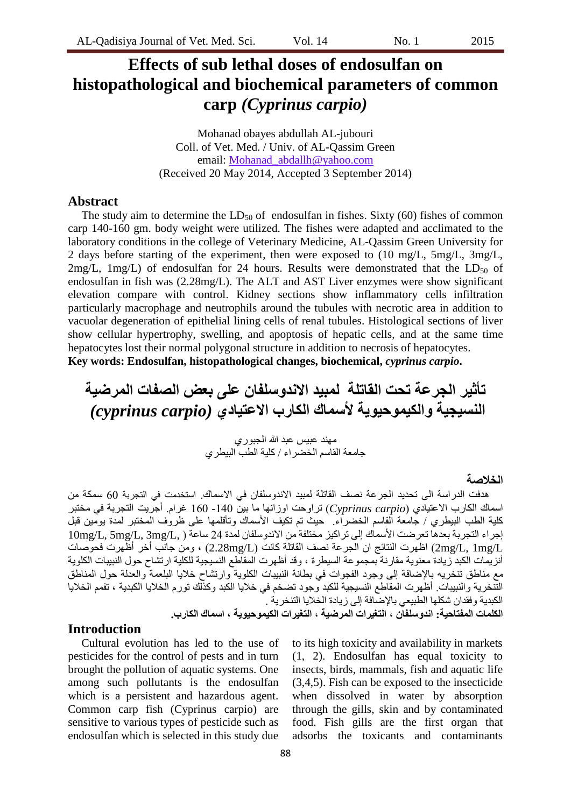# **Effects of sub lethal doses of endosulfan on histopathological and biochemical parameters of common carp** *(Cyprinus carpio)*

Mohanad obayes abdullah AL-jubouri Coll. of Vet. Med. / Univ. of AL-Qassim Green email: Mohanad\_abdallh@yahoo.com (Received 20 May 2014, Accepted 3 September 2014)

### **Abstract**

The study aim to determine the  $LD_{50}$  of endosulfan in fishes. Sixty (60) fishes of common carp 140-160 gm. body weight were utilized. The fishes were adapted and acclimated to the laboratory conditions in the college of Veterinary Medicine, AL-Qassim Green University for 2 days before starting of the experiment, then were exposed to (10 mg/L, 5mg/L, 3mg/L, 2mg/L, 1mg/L) of endosulfan for 24 hours. Results were demonstrated that the  $LD_{50}$  of endosulfan in fish was (2.28mg/L). The ALT and AST Liver enzymes were show significant elevation compare with control. Kidney sections show inflammatory cells infiltration particularly macrophage and neutrophils around the tubules with necrotic area in addition to vacuolar degeneration of epithelial lining cells of renal tubules. Histological sections of liver show cellular hypertrophy, swelling, and apoptosis of hepatic cells, and at the same time hepatocytes lost their normal polygonal structure in addition to necrosis of hepatocytes.

**Key words: Endosulfan, histopathological changes, biochemical,** *cyprinus carpio***.**

**جأثير الجرعة جحث القاجلة لمبيذ االنذوسلفان على بعض الصفات المرضية النسيجية والكيموحيوية ألسماك الكارب االعحيادي** *(carpio cyprinus(*

> مهند عبيس عبد الله الجبوري جامعة القاسم الخضر اء / كلية الطبّ الببطر ي

#### **الخالصة**

هدفت الدراسة الى تحديد الجرعة نصف القاتلة لمبيد الاندوسلفان في الاسماك. استخدمت في التجربة 60 سمكة من اسماك الكارب الاعتيادي (Cyprinus carpio) تراوحت اوزانها ما بين 140- 160 غرام. أجريت التجربة في مختبر كلية الطب البيطري / جامعة القاسم الخضراء. حيث نم نكيف الأسماك ونأقلمها على ظروف المختبر لمدة يومين قبل إجراء التجربة بعدها تعرضت الأسماك إلى تراكيز مختلفة من الاندوسلفان لمدة 24 ساعة ( ,L, 5mg/L, 3mg/L ) ,10mg/L اظهرت النتائج ان الجرعة نصف القاتلة كانت (£2.28mg/) ، ومن جانب أخر أظهرت فحوصات ( $2\mathrm{mg}/\mathrm{L}$ أنز يمات الكبد ز يادة معنو ية مقار نة بمجمو عة السيطر ة ، وقد أظهر ت اَلمقاطع النسيجية للكلية ار تشاح حول النبييات الكلوية مع مناطق تنخريه بالإضافة إلى وجود الفجوات في بطانة النبيبات الكلوية وارتشاح خلايا البلعمة والعدلة حول المناطق الْتّنخرية والنبيبات. أظهرت المقاطع النسيجية للكبد وجود تضخم في خلايا الكبد وكذلك تورم الخلايا الكبدية ، تفمم الخلايا الكبدية وفقدان شكلها الطبيعي بالإضافة إلى زيادة الخلايا التنخرية . **الكلمات المفحاحية: انذوسلفان ، الحغيرات المرضية ، الحغيرات الكيموحيوية ، اسماك الكارب.**

# **Introduction**

Cultural evolution has led to the use of pesticides for the control of pests and in turn brought the pollution of aquatic systems. One among such pollutants is the endosulfan which is a persistent and hazardous agent. Common carp fish (Cyprinus carpio) are sensitive to various types of pesticide such as endosulfan which is selected in this study due

to its high toxicity and availability in markets (1, 2). Endosulfan has equal toxicity to insects, birds, mammals, fish and aquatic life (3,4,5). Fish can be exposed to the insecticide when dissolved in water by absorption through the gills, skin and by contaminated food. Fish gills are the first organ that adsorbs the toxicants and contaminants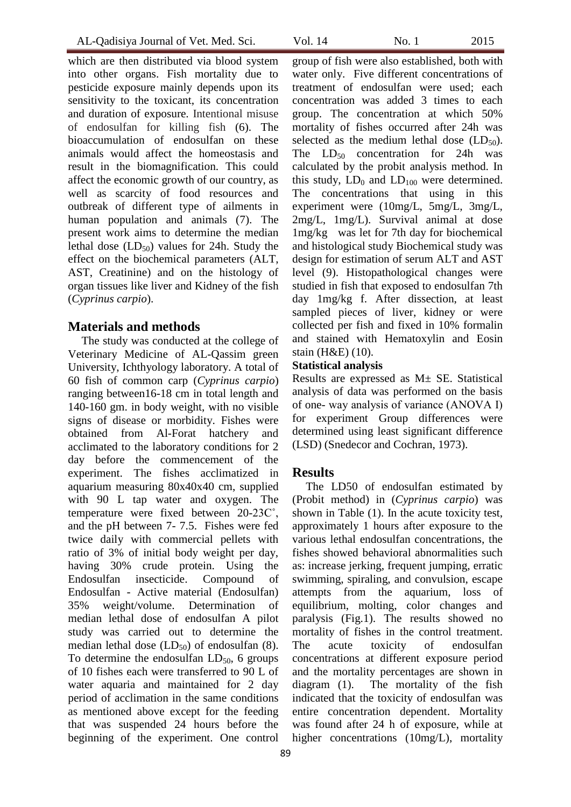which are then distributed via blood system into other organs. Fish mortality due to pesticide exposure mainly depends upon its sensitivity to the toxicant, its concentration and duration of exposure. Intentional misuse of endosulfan for killing fish (6). The bioaccumulation of endosulfan on these animals would affect the homeostasis and result in the biomagnification. This could affect the economic growth of our country, as well as scarcity of food resources and outbreak of different type of ailments in human population and animals (7). The present work aims to determine the median lethal dose  $(LD_{50})$  values for 24h. Study the effect on the biochemical parameters (ALT, AST, Creatinine) and on the histology of organ tissues like liver and Kidney of the fish (*Cyprinus carpio*).

### **Materials and methods**

The study was conducted at the college of Veterinary Medicine of AL-Qassim green University, Ichthyology laboratory. A total of 60 fish of common carp (*Cyprinus carpio*) ranging between16-18 cm in total length and 140-160 gm. in body weight, with no visible signs of disease or morbidity. Fishes were obtained from Al-Forat hatchery and acclimated to the laboratory conditions for 2 day before the commencement of the experiment. The fishes acclimatized in aquarium measuring 80x40x40 cm, supplied with 90 L tap water and oxygen. The temperature were fixed between 20-23C˚, and the pH between 7- 7.5. Fishes were fed twice daily with commercial pellets with ratio of 3% of initial body weight per day, having 30% crude protein. Using the Endosulfan insecticide. Compound of Endosulfan - Active material (Endosulfan) 35% weight/volume. Determination of median lethal dose of endosulfan A pilot study was carried out to determine the median lethal dose  $(LD_{50})$  of endosulfan (8). To determine the endosulfan  $LD_{50}$ , 6 groups of 10 fishes each were transferred to 90 L of water aquaria and maintained for 2 day period of acclimation in the same conditions as mentioned above except for the feeding that was suspended 24 hours before the beginning of the experiment. One control

group of fish were also established, both with water only. Five different concentrations of treatment of endosulfan were used; each concentration was added 3 times to each group. The concentration at which 50% mortality of fishes occurred after 24h was selected as the medium lethal dose  $(LD_{50})$ . The  $LD_{50}$  concentration for 24h was calculated by the probit analysis method. In this study,  $LD_0$  and  $LD_{100}$  were determined. The concentrations that using in this experiment were (10mg/L, 5mg/L, 3mg/L, 2mg/L, 1mg/L). Survival animal at dose 1mg/kg was let for 7th day for biochemical and histological study Biochemical study was design for estimation of serum ALT and AST level (9). Histopathological changes were studied in fish that exposed to endosulfan 7th day 1mg/kg f. After dissection, at least sampled pieces of liver, kidney or were collected per fish and fixed in 10% formalin and stained with Hematoxylin and Eosin stain (H&E) (10).

### **Statistical analysis**

Results are expressed as M± SE. Statistical analysis of data was performed on the basis of one- way analysis of variance (ANOVA Ι) for experiment Group differences were determined using least significant difference (LSD) (Snedecor and Cochran, 1973).

# **Results**

The LD50 of endosulfan estimated by (Probit method) in (*Cyprinus carpio*) was shown in Table (1). In the acute toxicity test, approximately 1 hours after exposure to the various lethal endosulfan concentrations, the fishes showed behavioral abnormalities such as: increase jerking, frequent jumping, erratic swimming, spiraling, and convulsion, escape attempts from the aquarium, loss of equilibrium, molting, color changes and paralysis (Fig.1). The results showed no mortality of fishes in the control treatment. The acute toxicity of endosulfan concentrations at different exposure period and the mortality percentages are shown in diagram (1). The mortality of the fish indicated that the toxicity of endosulfan was entire concentration dependent. Mortality was found after 24 h of exposure, while at higher concentrations (10mg/L), mortality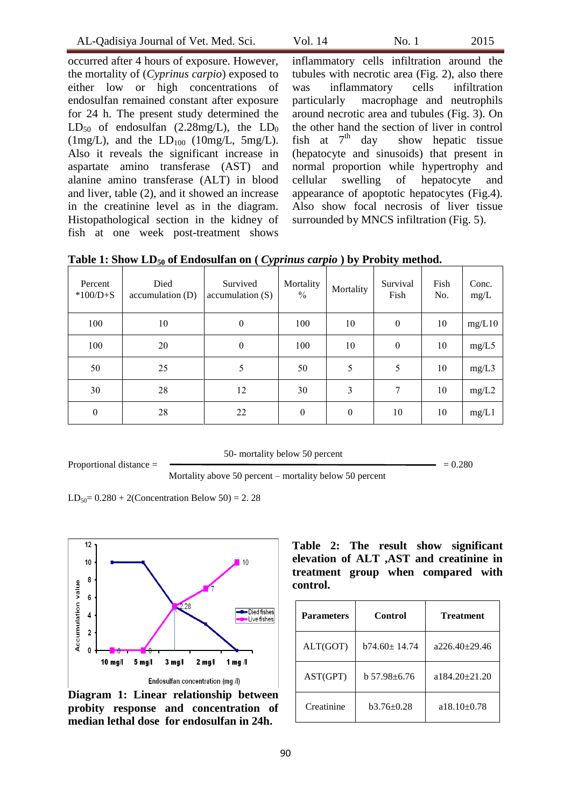occurred after 4 hours of exposure. However, the mortality of (*Cyprinus carpio*) exposed to either low or high concentrations of endosulfan remained constant after exposure for 24 h. The present study determined the  $LD_{50}$  of endosulfan (2.28mg/L), the  $LD_0$ (1mg/L), and the  $LD_{100}$  (10mg/L, 5mg/L). Also it reveals the significant increase in aspartate amino transferase (AST) and alanine amino transferase (ALT) in blood and liver, table (2), and it showed an increase in the creatinine level as in the diagram. Histopathological section in the kidney of fish at one week post-treatment shows

inflammatory cells infiltration around the tubules with necrotic area (Fig. 2), also there was inflammatory cells infiltration particularly macrophage and neutrophils around necrotic area and tubules (Fig. 3). On the other hand the section of liver in control<br>fish at  $7<sup>th</sup>$  day show hepatic tissue show hepatic tissue (hepatocyte and sinusoids) that present in normal proportion while hypertrophy and cellular swelling of hepatocyte and appearance of apoptotic hepatocytes (Fig.4). Also show focal necrosis of liver tissue surrounded by MNCS infiltration (Fig. 5).

| Percent<br>$*100/D + S$ | ັບ<br>Died<br>accumulation (D) | $\sim$ - $\mathcal{F}$<br>Survived<br>accumulation(S) | Mortality<br>$\%$ | <b>⁄</b> ⊌<br>Mortality | ້ ຢ<br>Survival<br>Fish | Fish<br>No. | Conc.<br>mg/L |
|-------------------------|--------------------------------|-------------------------------------------------------|-------------------|-------------------------|-------------------------|-------------|---------------|
| 100                     | 10                             | $\boldsymbol{0}$                                      | 100               | 10                      | $\mathbf{0}$            | 10          | mg/L10        |
| 100                     | 20                             | $\mathbf{0}$                                          | 100               | 10                      | $\mathbf{0}$            | 10          | mg/L5         |
| 50                      | 25                             | 5                                                     | 50                | 5                       | 5                       | 10          | mg/L3         |
| 30                      | 28                             | 12                                                    | 30                | 3                       | 7                       | 10          | mg/L2         |
| $\boldsymbol{0}$        | 28                             | 22                                                    | $\boldsymbol{0}$  | $\boldsymbol{0}$        | 10                      | 10          | mg/L1         |

**Table 1: Show LD<sup>50</sup> of Endosulfan on (** *Cyprinus carpio* **) by Probity method.**

50- mortality below 50 percent

Proportional distance  $=$   $\qquad \qquad = 0.280$ 

Mortality above 50 percent – mortality below 50 percent

 $LD_{50} = 0.280 + 2$ (Concentration Below 50) = 2.28



**Diagram 1: Linear relationship between probity response and concentration of median lethal dose for endosulfan in 24h.**

**Table 2: The result show significant elevation of ALT ,AST and creatinine in treatment group when compared with control.**

| <b>Parameters</b> | Control            | <b>Treatment</b> |  |  |
|-------------------|--------------------|------------------|--|--|
| ALT(GOT)          | $b74.60 \pm 14.74$ | $a226.40+29.46$  |  |  |
| AST(GPT)          | b 57.98±6.76       | a 184.20+21.20   |  |  |
| Creatinine        | $b3.76 \pm 0.28$   | $a18.10\pm0.78$  |  |  |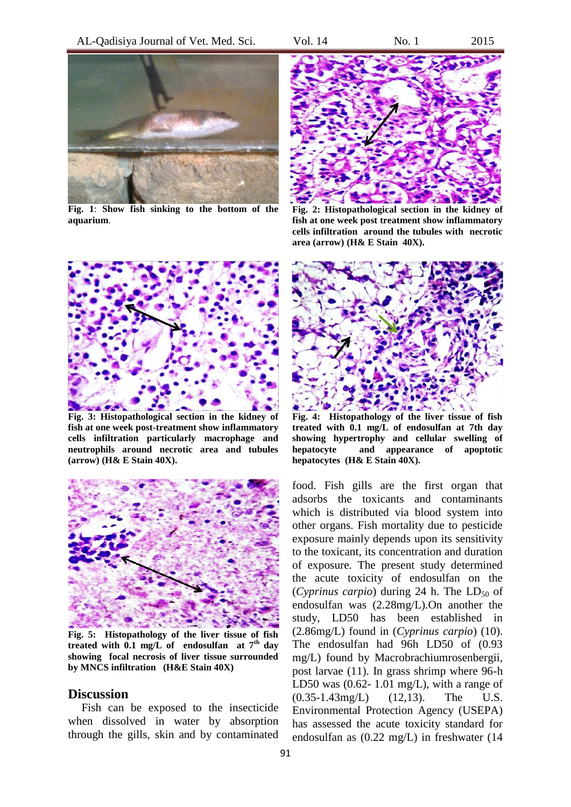

**Fig. 1**: **Show fish sinking to the bottom of the aquarium**.



**Fig. 2: Histopathological section in the kidney of fish at one week post treatment show inflammatory cells infiltration around the tubules with necrotic area (arrow) (H& E Stain 40X).**



**Fig. 3: Histopathological section in the kidney of fish at one week post-treatment show inflammatory cells infiltration particularly macrophage and neutrophils around necrotic area and tubules (arrow) (H& E Stain 40X).**



**Fig. 5: Histopathology of the liver tissue of fish treated with 0.1 mg/L of endosulfan at 7th day showing focal necrosis of liver tissue surrounded by MNCS infiltration (H&E Stain 40X)**

### **Discussion**

Fish can be exposed to the insecticide when dissolved in water by absorption through the gills, skin and by contaminated



**Fig. 4: Histopathology of the liver tissue of fish treated with 0.1 mg/L of endosulfan at 7th day showing hypertrophy and cellular swelling of hepatocyte and appearance of apoptotic hepatocytes (H& E Stain 40X).**

food. Fish gills are the first organ that adsorbs the toxicants and contaminants which is distributed via blood system into other organs. Fish mortality due to pesticide exposure mainly depends upon its sensitivity to the toxicant, its concentration and duration of exposure. The present study determined the acute toxicity of endosulfan on the  $(Cyprinus \ carpio)$  during 24 h. The  $LD_{50}$  of endosulfan was (2.28mg/L).On another the study, LD50 has been established in (2.86mg/L) found in (*Cyprinus carpio*) (10). The endosulfan had 96h LD50 of (0.93 mg/L) found by Macrobrachiumrosenbergii, post larvae (11). In grass shrimp where 96-h LD50 was  $(0.62 - 1.01$  mg/L), with a range of (0.35-1.43mg/L) (12,13). The U.S. Environmental Protection Agency (USEPA) has assessed the acute toxicity standard for endosulfan as (0.22 mg/L) in freshwater (14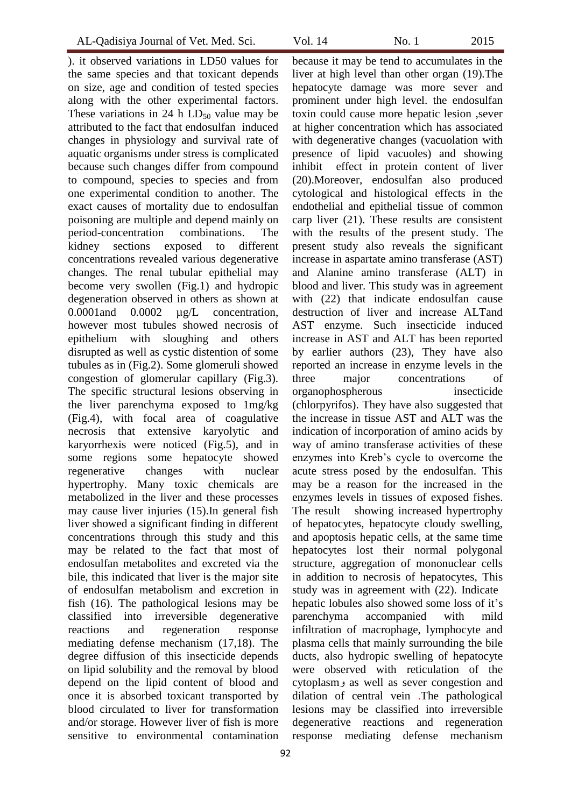). it observed variations in LD50 values for the same species and that toxicant depends on size, age and condition of tested species along with the other experimental factors. These variations in 24 h  $LD_{50}$  value may be attributed to the fact that endosulfan induced changes in physiology and survival rate of aquatic organisms under stress is complicated because such changes differ from compound to compound, species to species and from one experimental condition to another. The exact causes of mortality due to endosulfan poisoning are multiple and depend mainly on period-concentration combinations. The kidney sections exposed to different concentrations revealed various degenerative changes. The renal tubular epithelial may become very swollen (Fig.1) and hydropic degeneration observed in others as shown at 0.0001 and 0.0002 ug/L concentration, however most tubules showed necrosis of epithelium with sloughing and others disrupted as well as cystic distention of some tubules as in (Fig.2). Some glomeruli showed congestion of glomerular capillary (Fig.3). The specific structural lesions observing in the liver parenchyma exposed to 1mg/kg (Fig.4), with focal area of coagulative necrosis that extensive karyolytic and karyorrhexis were noticed (Fig.5), and in some regions some hepatocyte showed regenerative changes with nuclear hypertrophy. Many toxic chemicals are metabolized in the liver and these processes may cause liver injuries (15).In general fish liver showed a significant finding in different concentrations through this study and this may be related to the fact that most of endosulfan metabolites and excreted via the bile, this indicated that liver is the major site of endosulfan metabolism and excretion in fish (16). The pathological lesions may be classified into irreversible degenerative reactions and regeneration response mediating defense mechanism (17,18). The degree diffusion of this insecticide depends on lipid solubility and the removal by blood depend on the lipid content of blood and once it is absorbed toxicant transported by blood circulated to liver for transformation and/or storage. However liver of fish is more sensitive to environmental contamination

because it may be tend to accumulates in the liver at high level than other organ (19).The hepatocyte damage was more sever and prominent under high level. the endosulfan toxin could cause more hepatic lesion ,sever at higher concentration which has associated with degenerative changes (vacuolation with presence of lipid vacuoles) and showing inhibit effect in protein content of liver (20).Moreover, endosulfan also produced cytological and histological effects in the endothelial and epithelial tissue of common carp liver (21). These results are consistent with the results of the present study. The present study also reveals the significant increase in aspartate amino transferase (AST) and Alanine amino transferase (ALT) in blood and liver. This study was in agreement with (22) that indicate endosulfan cause destruction of liver and increase ALTand AST enzyme. Such insecticide induced increase in AST and ALT has been reported by earlier authors (23), They have also reported an increase in enzyme levels in the three major concentrations of organophospherous insecticide (chlorpyrifos). They have also suggested that the increase in tissue AST and ALT was the indication of incorporation of amino acids by way of amino transferase activities of these enzymes into Kreb's cycle to overcome the acute stress posed by the endosulfan. This may be a reason for the increased in the enzymes levels in tissues of exposed fishes. The result showing increased hypertrophy of hepatocytes, hepatocyte cloudy swelling, and apoptosis hepatic cells, at the same time hepatocytes lost their normal polygonal structure, aggregation of mononuclear cells in addition to necrosis of hepatocytes, This study was in agreement with (22). Indicate hepatic lobules also showed some loss of it's parenchyma accompanied with mild infiltration of macrophage, lymphocyte and

plasma cells that mainly surrounding the bile ducts, also hydropic swelling of hepatocyte were observed with reticulation of the cytoplasmو as well as sever congestion and dilation of central vein .The pathological lesions may be classified into irreversible degenerative reactions and regeneration response mediating defense mechanism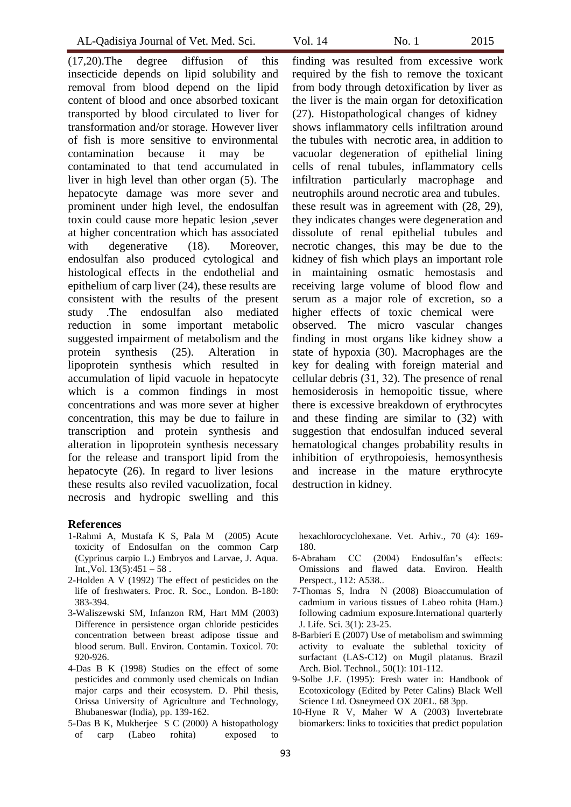(17,20).The degree diffusion of this insecticide depends on lipid solubility and removal from blood depend on the lipid content of blood and once absorbed toxicant transported by blood circulated to liver for transformation and/or storage. However liver of fish is more sensitive to environmental contamination because it may be contaminated to that tend accumulated in liver in high level than other organ (5). The hepatocyte damage was more sever and prominent under high level, the endosulfan toxin could cause more hepatic lesion ,sever at higher concentration which has associated with degenerative (18). Moreover, endosulfan also produced cytological and histological effects in the endothelial and epithelium of carp liver (24), these results are consistent with the results of the present study .The endosulfan also mediated reduction in some important metabolic suggested impairment of metabolism and the protein synthesis (25). Alteration in lipoprotein synthesis which resulted in accumulation of lipid vacuole in hepatocyte which is a common findings in most concentrations and was more sever at higher concentration, this may be due to failure in transcription and protein synthesis and alteration in lipoprotein synthesis necessary for the release and transport lipid from the hepatocyte (26). In regard to liver lesions these results also reviled vacuolization, focal necrosis and hydropic swelling and this

#### **References**

- 1-Rahmi A, Mustafa K S, Pala M (2005) Acute toxicity of Endosulfan on the common Carp (Cyprinus carpio L.) Embryos and Larvae, J. Aqua. Int., Vol.  $13(5):451 - 58$ .
- 2-Holden A V (1992) The effect of pesticides on the life of freshwaters. Proc. R. Soc., London. B-180: 383-394.
- 3-Waliszewski SM, Infanzon RM, Hart MM (2003) Difference in persistence organ chloride pesticides concentration between breast adipose tissue and blood serum. Bull. Environ. Contamin. Toxicol. 70: 920-926.
- 4-Das B K (1998) Studies on the effect of some pesticides and commonly used chemicals on Indian major carps and their ecosystem. D. Phil thesis, Orissa University of Agriculture and Technology, Bhubaneswar (India), pp. 139-162.
- 5-Das B K, Mukherjee S C (2000) A histopathology of carp (Labeo rohita) exposed to

finding was resulted from excessive work required by the fish to remove the toxicant from body through detoxification by liver as the liver is the main organ for detoxification (27). Histopathological changes of kidney shows inflammatory cells infiltration around the tubules with necrotic area, in addition to vacuolar degeneration of epithelial lining cells of renal tubules, inflammatory cells infiltration particularly macrophage and neutrophils around necrotic area and tubules. these result was in agreement with (28, 29), they indicates changes were degeneration and dissolute of renal epithelial tubules and necrotic changes, this may be due to the kidney of fish which plays an important role in maintaining osmatic hemostasis and receiving large volume of blood flow and serum as a major role of excretion, so a higher effects of toxic chemical were observed. The micro vascular changes finding in most organs like kidney show a state of hypoxia (30). Macrophages are the key for dealing with foreign material and cellular debris (31, 32). The presence of renal hemosiderosis in hemopoitic tissue, where there is excessive breakdown of erythrocytes and these finding are similar to (32) with suggestion that endosulfan induced several hematological changes probability results in inhibition of erythropoiesis, hemosynthesis and increase in the mature erythrocyte destruction in kidney.

hexachlorocyclohexane. Vet. Arhiv., 70 (4): 169- 180.

- 6-Abraham CC (2004) Endosulfan's effects: Omissions and flawed data. Environ. Health Perspect., 112: A538..
- 7-Thomas S, Indra N (2008) Bioaccumulation of cadmium in various tissues of Labeo rohita (Ham.) following cadmium exposure.International quarterly J. Life. Sci. 3(1): 23-25.
- 8-Barbieri E (2007) Use of metabolism and swimming activity to evaluate the sublethal toxicity of surfactant (LAS-C12) on Mugil platanus. Brazil Arch. Biol. Technol., 50(1): 101-112.
- 9-Solbe J.F. (1995): Fresh water in: Handbook of Ecotoxicology (Edited by Peter Calins) Black Well Science Ltd. Osneymeed OX 20EL. 68 3pp.
- 10-Hyne R V, Maher W A (2003) Invertebrate biomarkers: links to toxicities that predict population